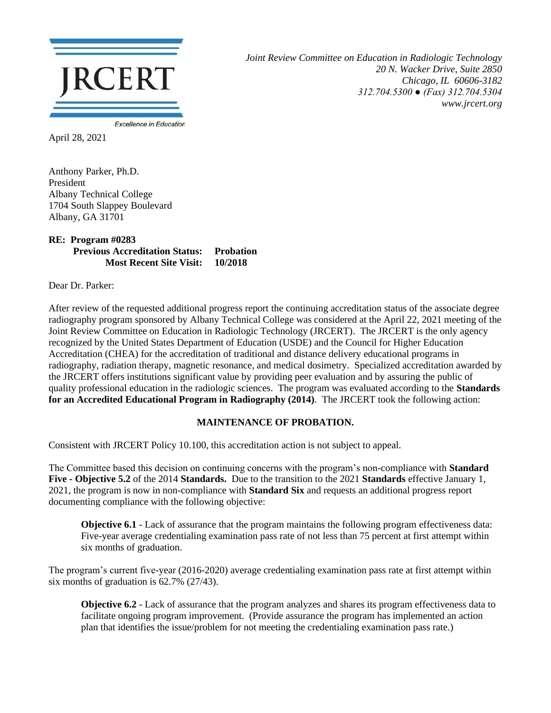

*Joint Review Committee on Education in Radiologic Technology 20 N. Wacker Drive, Suite 2850 Chicago, IL 60606-3182 312.704.5300 ● (Fax) 312.704.5304 www.jrcert.org*

April 28, 2021

Anthony Parker, Ph.D. President Albany Technical College 1704 South Slappey Boulevard Albany, GA 31701

## **RE: Program #0283 Previous Accreditation Status:** Probation<br>Most Recent Site Visit: 10/2018 **Most Recent Site Visit:**

Dear Dr. Parker:

After review of the requested additional progress report the continuing accreditation status of the associate degree radiography program sponsored by Albany Technical College was considered at the April 22, 2021 meeting of the Joint Review Committee on Education in Radiologic Technology (JRCERT). The JRCERT is the only agency recognized by the United States Department of Education (USDE) and the Council for Higher Education Accreditation (CHEA) for the accreditation of traditional and distance delivery educational programs in radiography, radiation therapy, magnetic resonance, and medical dosimetry. Specialized accreditation awarded by the JRCERT offers institutions significant value by providing peer evaluation and by assuring the public of quality professional education in the radiologic sciences. The program was evaluated according to the **Standards for an Accredited Educational Program in Radiography (2014)**. The JRCERT took the following action:

## **MAINTENANCE OF PROBATION.**

Consistent with JRCERT Policy 10.100, this accreditation action is not subject to appeal.

The Committee based this decision on continuing concerns with the program's non-compliance with **Standard Five - Objective 5.2** of the 2014 **Standards.** Due to the transition to the 2021 **Standards** effective January 1, 2021, the program is now in non-compliance with **Standard Six** and requests an additional progress report documenting compliance with the following objective:

**Objective 6.1** - Lack of assurance that the program maintains the following program effectiveness data: Five-year average credentialing examination pass rate of not less than 75 percent at first attempt within six months of graduation.

The program's current five-year (2016-2020) average credentialing examination pass rate at first attempt within six months of graduation is 62.7% (27/43).

**Objective 6.2** - Lack of assurance that the program analyzes and shares its program effectiveness data to facilitate ongoing program improvement. (Provide assurance the program has implemented an action plan that identifies the issue/problem for not meeting the credentialing examination pass rate.)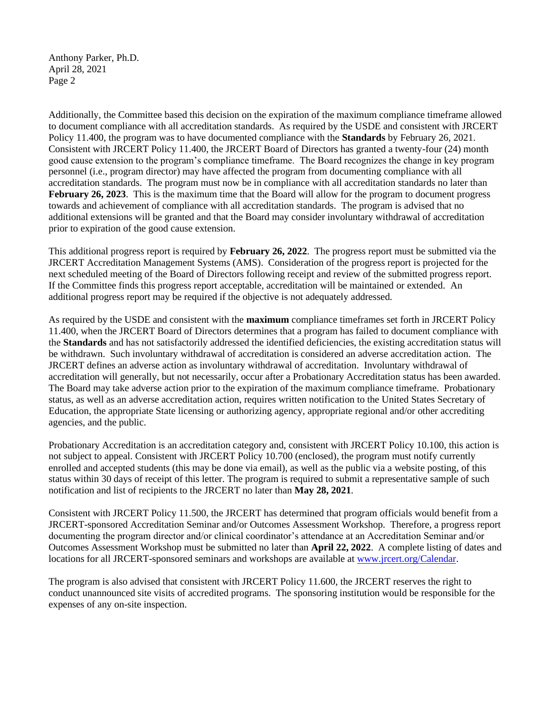Anthony Parker, Ph.D. April 28, 2021 Page 2

Additionally, the Committee based this decision on the expiration of the maximum compliance timeframe allowed to document compliance with all accreditation standards. As required by the USDE and consistent with JRCERT Policy 11.400, the program was to have documented compliance with the **Standards** by February 26, 2021. Consistent with JRCERT Policy 11.400, the JRCERT Board of Directors has granted a twenty-four (24) month good cause extension to the program's compliance timeframe. The Board recognizes the change in key program personnel (i.e., program director) may have affected the program from documenting compliance with all accreditation standards. The program must now be in compliance with all accreditation standards no later than **February 26, 2023.** This is the maximum time that the Board will allow for the program to document progress towards and achievement of compliance with all accreditation standards. The program is advised that no additional extensions will be granted and that the Board may consider involuntary withdrawal of accreditation prior to expiration of the good cause extension.

This additional progress report is required by **February 26, 2022**. The progress report must be submitted via the JRCERT Accreditation Management Systems (AMS). Consideration of the progress report is projected for the next scheduled meeting of the Board of Directors following receipt and review of the submitted progress report. If the Committee finds this progress report acceptable, accreditation will be maintained or extended. An additional progress report may be required if the objective is not adequately addressed.

As required by the USDE and consistent with the **maximum** compliance timeframes set forth in JRCERT Policy 11.400, when the JRCERT Board of Directors determines that a program has failed to document compliance with the **Standards** and has not satisfactorily addressed the identified deficiencies, the existing accreditation status will be withdrawn. Such involuntary withdrawal of accreditation is considered an adverse accreditation action. The JRCERT defines an adverse action as involuntary withdrawal of accreditation. Involuntary withdrawal of accreditation will generally, but not necessarily, occur after a Probationary Accreditation status has been awarded. The Board may take adverse action prior to the expiration of the maximum compliance timeframe. Probationary status, as well as an adverse accreditation action, requires written notification to the United States Secretary of Education, the appropriate State licensing or authorizing agency, appropriate regional and/or other accrediting agencies, and the public.

Probationary Accreditation is an accreditation category and, consistent with JRCERT Policy 10.100, this action is not subject to appeal. Consistent with JRCERT Policy 10.700 (enclosed), the program must notify currently enrolled and accepted students (this may be done via email), as well as the public via a website posting, of this status within 30 days of receipt of this letter. The program is required to submit a representative sample of such notification and list of recipients to the JRCERT no later than **May 28, 2021**.

Consistent with JRCERT Policy 11.500, the JRCERT has determined that program officials would benefit from a JRCERT-sponsored Accreditation Seminar and/or Outcomes Assessment Workshop. Therefore, a progress report documenting the program director and/or clinical coordinator's attendance at an Accreditation Seminar and/or Outcomes Assessment Workshop must be submitted no later than **April 22, 2022**. A complete listing of dates and locations for all JRCERT-sponsored seminars and workshops are available a[t www.jrcert.org/Calendar.](http://www.jrcert.org/Calendar)

The program is also advised that consistent with JRCERT Policy 11.600, the JRCERT reserves the right to conduct unannounced site visits of accredited programs. The sponsoring institution would be responsible for the expenses of any on-site inspection.